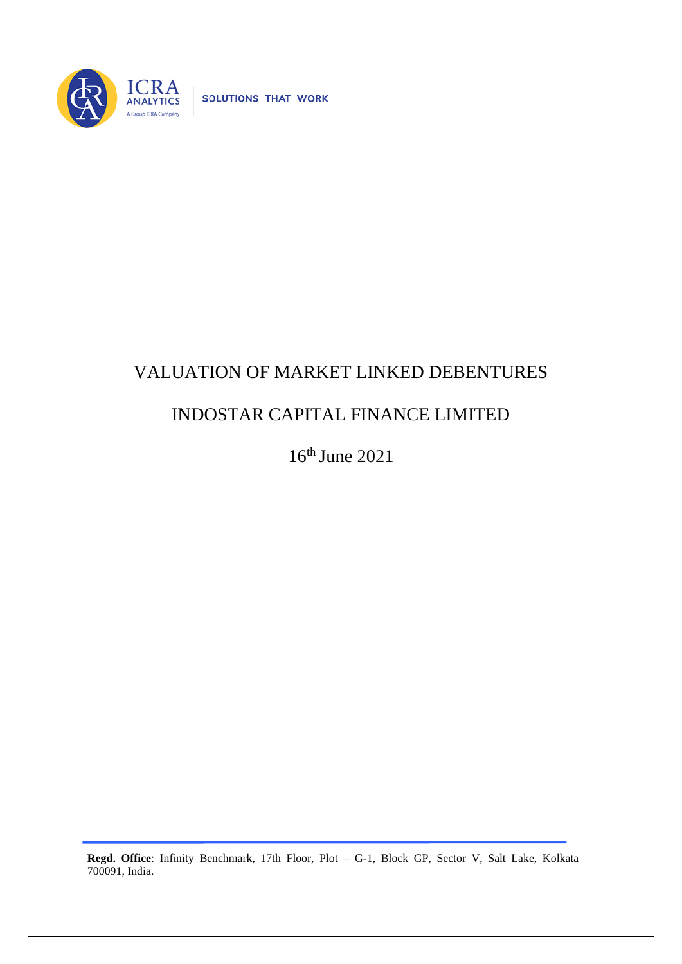

SOLUTIONS THAT WORK

## VALUATION OF MARKET LINKED DEBENTURES

## INDOSTAR CAPITAL FINANCE LIMITED

16th June 2021

**Regd. Office**: Infinity Benchmark, 17th Floor, Plot – G-1, Block GP, Sector V, Salt Lake, Kolkata 700091, India.